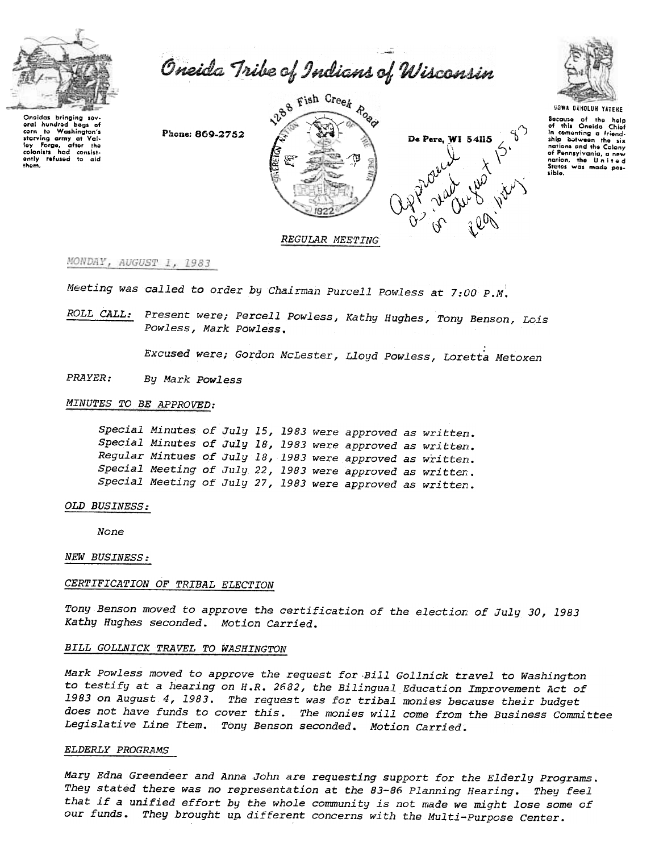

Oneida Tribe of Indians of Wisconsin

Phone: 869-2752







UGWA DEHOLUN YATEHE Secause of the help<br>of this Oneida Chief in comenting a friendnations and the Colony of Pennsylvania, a new nation, the United<br>States was made possible.

REGULAR MEETING

# MONDAY, AUGUST 1, 1983

Meeting was called to order by Chairman Purcell Powless at 7:00 P.M.

ROLL CALL: Present were; Percell Powless, Kathy Hughes, Tony Benson, Lois Powless, Mark Powless.

Excused were; Gordon McLester, Lloyd Powless, Loretta Metoxen

PRAYER: By Mark Powless

#### MINUTES TO BE APPROVED:

Special Minutes of July 15, 1983 were approved as written. Special Minutes of July 18, 1983 were approved as written. Regular Mintues of July 18, 1983 were approved as written. Special Meeting of July 22, 1983 were approved as written. Special Meeting of July 27, 1983 were approved as written.

### OLD BUSINESS:

None

NEW BUSINESS:

#### CERTIFICATION OF TRIBAL ELECTION

Tony Benson moved to approve the certification of the election of July 30, 1983 Kathy Hughes seconded. Motion Carried.

## BILL GOLLNICK TRAVEL TO WASHINGTON

Mark Powless moved to approve the request for Bill Gollnick travel to Washington to testify at a hearing on H.R. 2682, the Bilingual Education Improvement Act of 1983 on August 4, 1983. The request was for tribal monies because their budget does not have funds to cover this. The monies will come from the Business Committee Legislative Line Item. Tony Benson seconded. Motion Carried.

#### ELDERLY PROGRAMS

Mary Edna Greendeer and Anna John are requesting support for the Elderly Programs. They stated there was no representation at the 83-86 Planning Hearing. They feel that if a unified effort by the whole community is not made we might lose some of our funds. They brought up different concerns with the Multi-Purpose Center.